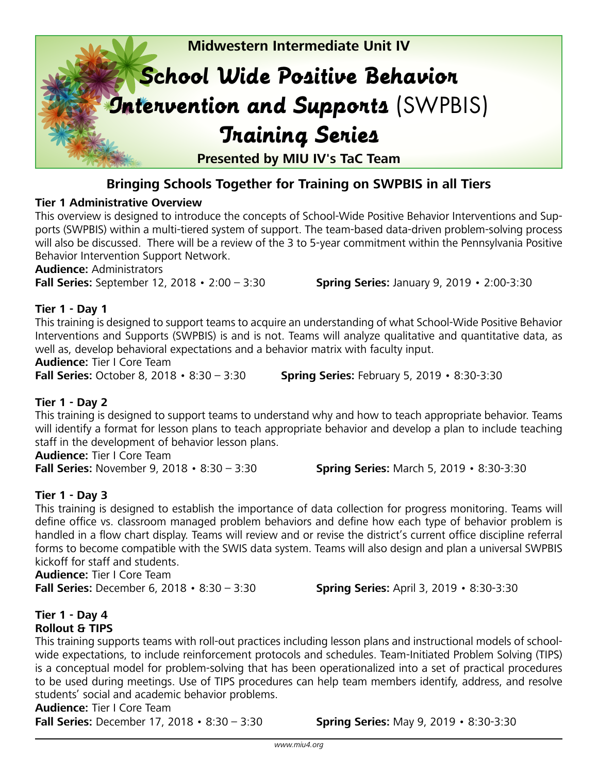

#### **Bringing Schools Together for Training on SWPBIS in all Tiers**

#### **Tier 1 Administrative Overview**

This overview is designed to introduce the concepts of School-Wide Positive Behavior Interventions and Supports (SWPBIS) within a multi-tiered system of support. The team-based data-driven problem-solving process will also be discussed. There will be a review of the 3 to 5-year commitment within the Pennsylvania Positive Behavior Intervention Support Network.

**Audience:** Administrators

**Fall Series:** September 12, 2018 • 2:00 – 3:30 **Spring Series:** January 9, 2019 • 2:00-3:30

#### **Tier 1 - Day 1**

This training is designed to support teams to acquire an understanding of what School-Wide Positive Behavior Interventions and Supports (SWPBIS) is and is not. Teams will analyze qualitative and quantitative data, as well as, develop behavioral expectations and a behavior matrix with faculty input.

**Audience:** Tier I Core Team

**Fall Series:** October 8, 2018 • 8:30 – 3:30 **Spring Series:** February 5, 2019 • 8:30-3:30

#### **Tier 1 - Day 2**

This training is designed to support teams to understand why and how to teach appropriate behavior. Teams will identify a format for lesson plans to teach appropriate behavior and develop a plan to include teaching staff in the development of behavior lesson plans.

**Audience:** Tier I Core Team

**Fall Series:** November 9, 2018 • 8:30 – 3:30 **Spring Series:** March 5, 2019 • 8:30-3:30

#### **Tier 1 - Day 3**

This training is designed to establish the importance of data collection for progress monitoring. Teams will define office vs. classroom managed problem behaviors and define how each type of behavior problem is handled in a flow chart display. Teams will review and or revise the district's current office discipline referral forms to become compatible with the SWIS data system. Teams will also design and plan a universal SWPBIS kickoff for staff and students.

**Audience:** Tier I Core Team **Fall Series:** December 6, 2018 • 8:30 – 3:30 **Spring Series:** April 3, 2019 • 8:30-3:30

#### **Tier 1 - Day 4 Rollout & TIPS**

This training supports teams with roll-out practices including lesson plans and instructional models of schoolwide expectations, to include reinforcement protocols and schedules. Team-Initiated Problem Solving (TIPS) is a conceptual model for problem-solving that has been operationalized into a set of practical procedures to be used during meetings. Use of TIPS procedures can help team members identify, address, and resolve students' social and academic behavior problems.

#### **Audience:** Tier I Core Team

**Fall Series:** December 17, 2018 • 8:30 – 3:30 **Spring Series:** May 9, 2019 • 8:30-3:30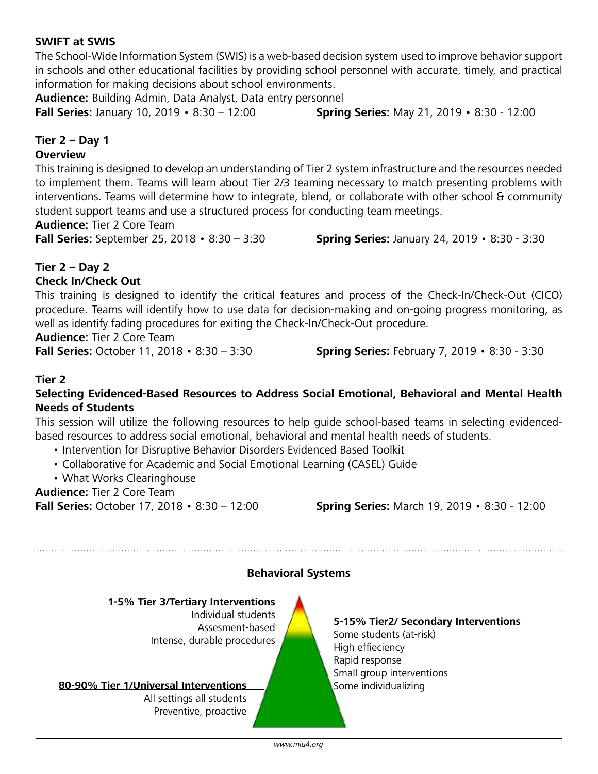#### *www.miu4.org*

# **Fall Series:** October 17, 2018 • 8:30 – 12:00 **Spring Series:** March 19, 2019 • 8:30 - 12:00

**Tier 2 – Day 2 Check In/Check Out**

This training is designed to identify the critical features and process of the Check-In/Check-Out (CICO) procedure. Teams will identify how to use data for decision-making and on-going progress monitoring, as well as identify fading procedures for exiting the Check-In/Check-Out procedure.

**Audience:** Tier 2 Core Team

**Fall Series:** October 11, 2018 • 8:30 – 3:30 **Spring Series:** February 7, 2019 • 8:30 - 3:30

#### **Tier 2**

#### **Selecting Evidenced-Based Resources to Address Social Emotional, Behavioral and Mental Health Needs of Students**

This session will utilize the following resources to help guide school-based teams in selecting evidencedbased resources to address social emotional, behavioral and mental health needs of students.

**Behavioral Systems**

- Intervention for Disruptive Behavior Disorders Evidenced Based Toolkit
- Collaborative for Academic and Social Emotional Learning (CASEL) Guide

Individual students Assesment-based

Intense, durable procedures

• What Works Clearinghouse

#### **Audience:** Tier 2 Core Team

**80-90% Tier 1/Universal Interventions** All settings all students Preventive, proactive

**1-5% Tier 3/Tertiary Interventions**

#### **5-15% Tier2/ Secondary Interventions**

Some students (at-risk) High effieciency Rapid response Small group interventions

**Fall Series:** September 25, 2018 • 8:30 – 3:30 **Spring Series:** January 24, 2019 • 8:30 - 3:30

#### **SWIFT at SWIS**

**Tier 2 – Day 1 Overview** 

**Audience:** Tier 2 Core Team

The School-Wide Information System (SWIS) is a web-based decision system used to improve behavior support in schools and other educational facilities by providing school personnel with accurate, timely, and practical information for making decisions about school environments.

This training is designed to develop an understanding of Tier 2 system infrastructure and the resources needed to implement them. Teams will learn about Tier 2/3 teaming necessary to match presenting problems with interventions. Teams will determine how to integrate, blend, or collaborate with other school & community

**Audience:** Building Admin, Data Analyst, Data entry personnel

student support teams and use a structured process for conducting team meetings.

**Fall Series:** January 10, 2019 • 8:30 – 12:00 **Spring Series:** May 21, 2019 • 8:30 - 12:00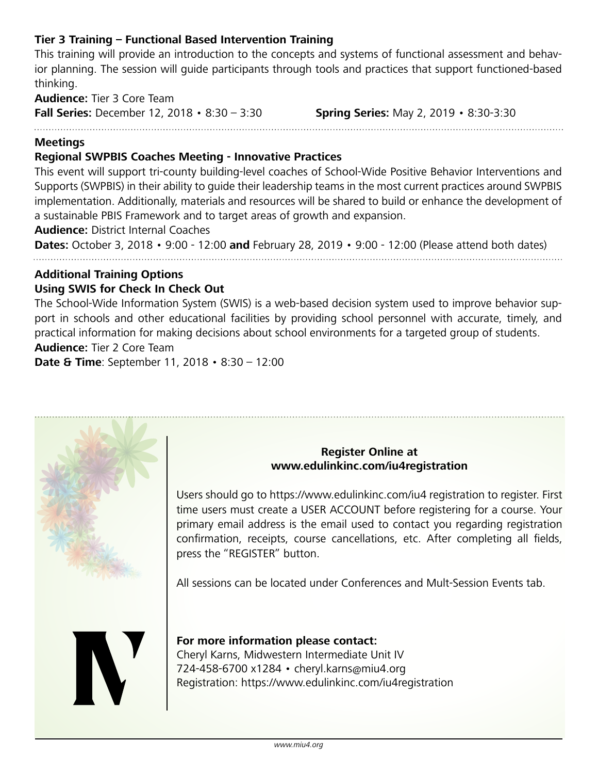#### **Tier 3 Training – Functional Based Intervention Training**

This training will provide an introduction to the concepts and systems of functional assessment and behavior planning. The session will guide participants through tools and practices that support functioned-based thinking.

**Audience:** Tier 3 Core Team **Fall Series:** December 12, 2018 • 8:30 – 3:30 **Spring Series:** May 2, 2019 • 8:30-3:30

#### **Meetings**

#### **Regional SWPBIS Coaches Meeting - Innovative Practices**

This event will support tri-county building-level coaches of School-Wide Positive Behavior Interventions and Supports (SWPBIS) in their ability to guide their leadership teams in the most current practices around SWPBIS implementation. Additionally, materials and resources will be shared to build or enhance the development of a sustainable PBIS Framework and to target areas of growth and expansion.

**Audience:** District Internal Coaches

**Dates:** October 3, 2018 • 9:00 - 12:00 **and** February 28, 2019 • 9:00 - 12:00 (Please attend both dates)

#### **Additional Training Options Using SWIS for Check In Check Out**

The School-Wide Information System (SWIS) is a web-based decision system used to improve behavior support in schools and other educational facilities by providing school personnel with accurate, timely, and practical information for making decisions about school environments for a targeted group of students. **Audience:** Tier 2 Core Team

**Date & Time**: September 11, 2018 • 8:30 – 12:00



#### **Register Online at www.edulinkinc.com/iu4registration**

Users should go to https://www.edulinkinc.com/iu4 registration to register. First time users must create a USER ACCOUNT before registering for a course. Your primary email address is the email used to contact you regarding registration confirmation, receipts, course cancellations, etc. After completing all fields, press the "REGISTER" button.

All sessions can be located under Conferences and Mult-Session Events tab.



#### **For more information please contact:**  Cheryl Karns, Midwestern Intermediate Unit IV 724-458-6700 x1284 • cheryl.karns@miu4.org Registration: https://www.edulinkinc.com/iu4registration